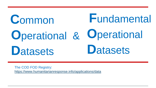### **Fundamental** Common **Operational Operational & Datasets Datasets**

The COD FOD Registry: https://www.humanitarianresponse.info/applications/data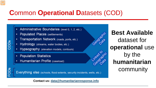## **Common Operational Datasets (COD)**

- Administrative Boundaries (level 0, 1, 2, etc.)
- Populated Places (settlements)
- Transportation Network (roads, ports, etc.)
- Hydrology (streams, water bodies, etc.)
- Hypsography (elevation models, contours)
- **Population Statistics**

COD<sub>s</sub>

**ODs** 

Humanitarian Profile (caseload)



#### Contact us: data@humanitarianresponse.info

#### **Best Available** seographic dataset for **operational** use by the humanitarian community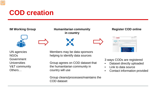### **COD creation**



UN agencies NGOs **Government** Universities V&T community Others…

Members may be data sponsors helping to identify data sources

Group agrees on COD dataset that the humanitarian community in country will use

Group cleans/processes/maintains the COD dataset

3 ways CODs are registered

- Dataset directly uploaded
- Link to data source
- Contact information provided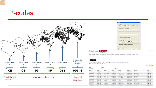### P-codes



LOCATION COSTAIN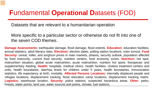### **F**undamental **Operational D**atasets (FOD)

Datasets that are relevant to a humanitarian operation

#### More specific to a particular sector or otherwise do not fit into one of the seven COD themes.

**Damage Assessments:** earthquake damage, flood damage, flood extents. **Education:** education facilities, annual statistics, adult literacy rates. **Elections:** election dates, polling station locations, voter turnout. **Food Security:** cereal, millet, and sorghum prices in main markets, phases, security outlook, population affected by food insecurity, current food security, nutrition centers, food economy zones, **Nutrition:** hot spot, malnutrition situation, global acute malnutrition, acute malnutrition, nutrition hot spots, therapeutic and supplementary feeding. **Health:** hospitals, medical clinics, health facilities, cholera treatment centers and units, health boundaries, diarrhea levels for children under 5 years, health boundaries, immunization statistics, life expectancy at birth, mortality. **Affected Persons Locations:** internally displaced people and refugee locations, displacement tracking, flood relocation camp locations, displacement tracking matrix. **Logistics:** warehouse location. **Security:** police stations, suspected hazardous areas. **Other:** parks, forests, water points, land use, water sources and points, climate, fuel stations.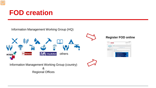### **FOD creation**

Information Management Working Group (HQ)



**Register FOD online**

| <b>Sananitarian Essential</b><br>of street benefits more               |                                                                                                                                                                                                                                                                                                                                                                                                                                          | and in factorship |
|------------------------------------------------------------------------|------------------------------------------------------------------------------------------------------------------------------------------------------------------------------------------------------------------------------------------------------------------------------------------------------------------------------------------------------------------------------------------------------------------------------------------|-------------------|
| <b>Scale Color</b><br><b>Service</b><br><b>Sculpture Production of</b> | Data<br>COD vs FOD                                                                                                                                                                                                                                                                                                                                                                                                                       | .                 |
| ---                                                                    | actual. The parameters is furth designed to the later to as<br>THE<br>The first process of the control of the process of the control of the con-<br>sing and children with a research contract.<br>. Allmounter fourtered part 11 at 1<br>. Painters Pares company<br>. Transportation National coast policies (<br>. Hudrology covers, som bides, etc.).<br>1 Parkcorat's reversion and company<br>- Postein Names<br>a Malaysiana Rufa |                   |

Information Management Working Group (country) & Regional Offices

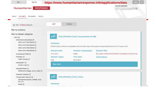| $HR -$<br><b>DATA</b>                              |                      |                                 |                                                | https://www.humanitarianresponse.info/applications/data                                                                | Log in |  |
|----------------------------------------------------|----------------------|---------------------------------|------------------------------------------------|------------------------------------------------------------------------------------------------------------------------|--------|--|
| Humanitarian                                       | <b>RESPONSE</b>      |                                 |                                                | <b>Search Datasets</b>                                                                                                 |        |  |
|                                                    |                      |                                 |                                                |                                                                                                                        | Q      |  |
|                                                    |                      |                                 |                                                |                                                                                                                        |        |  |
| <b>ABOUT</b><br>DATASETS DOCUMENTS                 | PEOPLE               |                                 |                                                |                                                                                                                        |        |  |
|                                                    |                      |                                 |                                                |                                                                                                                        |        |  |
|                                                    |                      |                                 |                                                |                                                                                                                        |        |  |
| <sup>3</sup> Filter: 72 items displayed            | LIST                 | TABLE                           |                                                |                                                                                                                        |        |  |
| Filter by locations:                               |                      |                                 |                                                |                                                                                                                        |        |  |
| Filter by dataset categories:                      | r.                   |                                 |                                                |                                                                                                                        |        |  |
| COD(18)                                            | HR                   |                                 | <b>PHILIPPINES (THE): Humanitarian Profile</b> |                                                                                                                        |        |  |
| Administrative Boundaries (5)                      |                      |                                 |                                                |                                                                                                                        |        |  |
| Admin Level 1 Boundaries (1)                       | <b>Summary</b>       |                                 |                                                |                                                                                                                        |        |  |
| Admin Level 2 Boundaries (1)                       |                      |                                 |                                                | DROMIC data by DSWD on municipalities within the 50km radius of the typhoon Haiyan/Yolanda track as of 27 January 2014 |        |  |
| Admin Level 3 Boundaries (1)                       |                      |                                 |                                                |                                                                                                                        |        |  |
| Admin Level 4 Boundaries (1)                       | <b>Dataset Date</b>  |                                 | Dataset Language(s)                            | <b>Dataset Files</b>                                                                                                   |        |  |
| Humanitarian Profile (4)                           | 27-01-2014           |                                 | English                                        | Typhoon Yolanda DSWD DROMIC Consolidated 27Jan2014.xlsx                                                                |        |  |
| Hydrology (1)                                      | <b>Dataset Types</b> |                                 | Post date                                      | <b>Instructions</b>                                                                                                    |        |  |
| Water Courses (1)                                  | Table                |                                 | 30-01-2014                                     |                                                                                                                        |        |  |
| Hypsography (1)                                    |                      |                                 |                                                |                                                                                                                        |        |  |
| Contour Lines (1)                                  | View more            |                                 |                                                |                                                                                                                        |        |  |
| Populated Places (1)                               |                      |                                 |                                                |                                                                                                                        |        |  |
| Settlements (villages, towns, cities) (1)          |                      |                                 |                                                |                                                                                                                        |        |  |
| Population Statistics (3)                          |                      |                                 |                                                |                                                                                                                        |        |  |
| Transportation Network (3)                         | HR                   | <b>PHILIPPINES (THE): Other</b> |                                                |                                                                                                                        |        |  |
| Aerodromes (airports, airfields, HLZs,<br>etc.)(1) |                      |                                 |                                                |                                                                                                                        |        |  |
| Roads (2)                                          | <b>Summary</b>       |                                 |                                                |                                                                                                                        |        |  |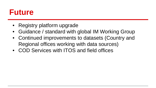## **Future**

- Registry platform upgrade
- Guidance / standard with global IM Working Group
- Continued improvements to datasets (Country and Regional offices working with data sources)
- COD Services with ITOS and field offices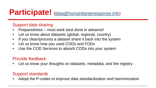## **Participate! (**[data@humanitarianresponse.info\)](mailto:data@humanitarianresponse.info)

#### Support data sharing

- Preparedness most work best done in advance!
- Let us know about datasets (global, regional, country)
- If you clean/process a dataset share it back into the system
- Let us know how you used CODs and FODs
- Use the COD Services to absorb CODs into your system

#### Provide feedback

Let us know your thoughts on datasets, metadata, and the registry

#### Support standards

• Adopt the P-codes to improve data standardization and harmonization